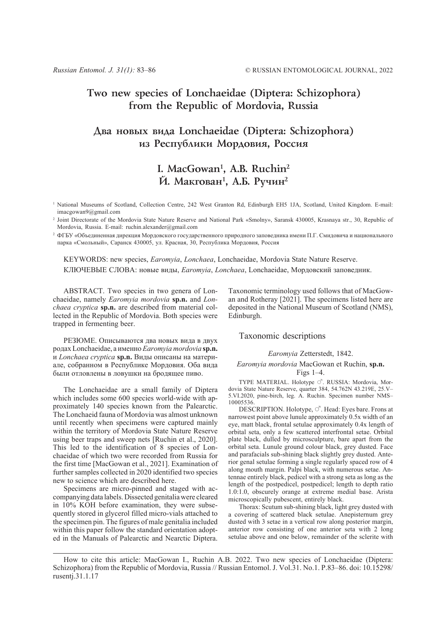## **Two new species of Lonchaeidae (Diptera: Schizophora) from the Republic of Mordovia, Russia**

## **Äâà íîâûõ âèäà Lonchaeidae (Diptera: Schizophora)** из Республики Мордовия, Россия

# **I. MacGowan1 , A.B. Ruchin2** Й. Макгован<sup>1</sup>, А.Б. Ручин<sup>2</sup>

<sup>1</sup> National Museums of Scotland, Collection Centre, 242 West Granton Rd, Edinburgh EH5 1JA, Scotland, United Kingdom. E-mail: imacgowan9@gmail.com

<sup>2</sup> Joint Directorate of the Mordovia State Nature Reserve and National Park «Smolny», Saransk 430005, Krasnaya str., 30, Republic of Mordovia, Russia. E-mail: ruchin.alexander@gmail.com

<sup>2</sup> ФГБУ «Объединенная дирекция Мордовского государственного природного заповедника имени П.Г. Смидовича и национального парка «Смольный», Саранск 430005, ул. Красная, 30, Республика Мордовия, Россия

KEYWORDS: new species, *Earomyia*, *Lonchaea*, Lonchaeidae, Mordovia State Nature Reserve. КЛЮЧЕВЫЕ СЛОВА: новые виды, *Earomyia*, *Lonchaea*, Lonchaeidae, Мордовский заповедник.

ABSTRACT. Two species in two genera of Lonchaeidae, namely *Earomyia mordovia* **sp.n.** and *Lonchaea cryptica* **sp.n.** are described from material collected in the Republic of Mordovia. Both species were trapped in fermenting beer.

РЕЗЮМЕ. Описываются два новых вида в двух родах Lonchaeidae, а именно*Earomyia mordovia* **sp.n.** и *Lonchaea cryptica* **sp.n.** Виды описаны на материале, собранном в Республике Мордовия. Оба вида были отловлены в ловушки на бродящее пиво.

The Lonchaeidae are a small family of Diptera which includes some 600 species world-wide with approximately 140 species known from the Palearctic. The Lonchaeid fauna of Mordovia was almost unknown until recently when specimens were captured mainly within the territory of Mordovia State Nature Reserve using beer traps and sweep nets [Ruchin et al., 2020]. This led to the identification of 8 species of Lonchaeidae of which two were recorded from Russia for the first time [MacGowan et al., 2021]. Examination of further samples collected in 2020 identified two species new to science which are described here.

Specimens are micro-pinned and staged with accompanying data labels. Dissected genitalia were cleared in 10% KOH before examination, they were subsequently stored in glycerol filled micro-vials attached to the specimen pin. The figures of male genitalia included within this paper follow the standard orientation adopted in the Manuals of Palearctic and Nearctic Diptera.

Taxonomic terminology used follows that of MacGowan and Rotheray [2021]. The specimens listed here are deposited in the National Museum of Scotland (NMS), Edinburgh.

### Taxonomic descriptions

### *Earomyia* Zetterstedt, 1842.

## *Earomyia mordovia* MacGowan et Ruchin, **sp.n.** Figs 1–4.

TYPE MATERIAL. Holotype  $\circlearrowleft$ . RUSSIA: Mordovia, Mordovia State Nature Reserve, quarter 384, 54.762N 43.219E, 25.V– 5.VI.2020, pine-birch, leg. A. Ruchin. Specimen number NMS– 10005536.

DESCRIPTION. Holotype,  $\circ$ <sup>7</sup>. Head: Eyes bare. Frons at narrowest point above lunule approximately 0.5x width of an eye, matt black, frontal setulae approximately 0.4x length of orbital seta, only a few scattered interfrontal setae. Orbital plate black, dulled by microsculpture, bare apart from the orbital seta. Lunule ground colour black, grey dusted. Face and parafacials sub-shining black slightly grey dusted. Anterior genal setulae forming a single regularly spaced row of 4 along mouth margin. Palpi black, with numerous setae. Antennae entirely black, pedicel with a strong seta as long as the length of the postpedicel, postpedicel; length to depth ratio 1.0:1.0, obscurely orange at extreme medial base. Arista microscopically pubescent, entirely black.

Thorax: Scutum sub-shining black, light grey dusted with a covering of scattered black setulae. Anepisternum grey dusted with 3 setae in a vertical row along posterior margin, anterior row consisting of one anterior seta with 2 long setulae above and one below, remainder of the sclerite with

How to cite this article: MacGowan I., Ruchin A.B. 2022. Two new species of Lonchaeidae (Diptera: Schizophora) from the Republic of Mordovia, Russia // Russian Entomol. J. Vol.31. No.1. P.83–86. doi: 10.15298/ rusentj.31.1.17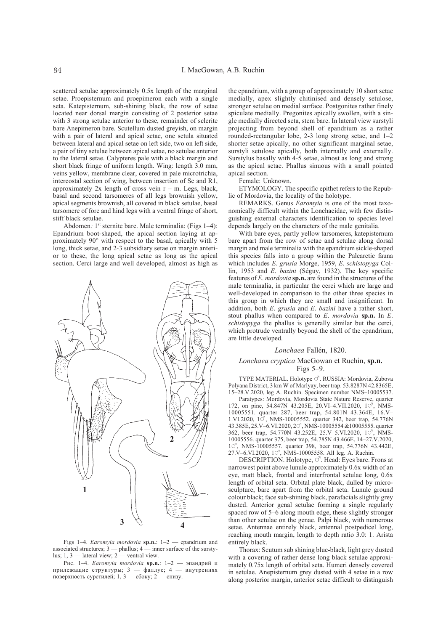scattered setulae approximately 0.5x length of the marginal setae. Proepisternum and proepimeron each with a single seta. Katepisternum, sub-shining black, the row of setae located near dorsal margin consisting of 2 posterior setae with 3 strong setulae anterior to these, remainder of sclerite bare Anepimeron bare. Scutellum dusted greyish, on margin with a pair of lateral and apical setae, one setula situated between lateral and apical setae on left side, two on left side, a pair of tiny setulae between apical setae, no setulae anterior to the lateral setae. Calypteres pale with a black margin and short black fringe of uniform length. Wing: length 3.0 mm, veins yellow, membrane clear, covered in pale microtrichia, intercostal section of wing, between insertion of Sc and R1, approximately  $2x$  length of cross vein  $r - m$ . Legs, black, basal and second tarsomeres of all legs brownish yellow, apical segments brownish, all covered in black setulae, basal tarsomere of fore and hind legs with a ventral fringe of short, stiff black setulae.

Abdomen: 1<sup>st</sup> sternite bare. Male terminalia: (Figs 1–4): Epandrium boot-shaped, the apical section laying at approximately 90° with respect to the basal, apically with 5 long, thick setae, and 2-3 subsidiary setae on margin anterior to these, the long apical setae as long as the apical section. Cerci large and well developed, almost as high as



Figs 1–4. *Earomyia mordovia* **sp.n.**: 1–2 — epandrium and associated structures;  $3$  — phallus;  $4$  — inner surface of the surstylus; 1, 3 — lateral view;  $2$  — ventral view.

Рис. 1–4. *Earomyia mordovia* **sp.n.**: 1–2 — эпандрий и прилежащие структуры; 3 — фаллус; 4 — внутренняя поверхность сурстилей; 1, 3 — сбоку; 2 — снизу.

the epandrium, with a group of approximately 10 short setae medially, apex slightly chitinised and densely setulose, stronger setulae on medial surface. Postgonites rather finely spiculate medially. Pregonites apically swollen, with a single medially directed seta, stem bare. In lateral view surstyli projecting from beyond shell of epandrium as a rather rounded-rectangular lobe, 2-3 long strong setae, and 1–2 shorter setae apically, no other significant marginal setae, surstyli setulose apically, both internally and externally. Surstylus basally with 4-5 setae, almost as long and strong as the apical setae. Phallus sinuous with a small pointed apical section.

Female: Unknown.

ETYMOLOGY. The specific epithet refers to the Republic of Mordovia, the locality of the holotype.

REMARKS. Genus *Earomyia* is one of the most taxonomically difficult within the Lonchaeidae, with few distinguishing external characters identification to species level depends largely on the characters of the male genitalia.

With bare eyes, partly yellow tarsomeres, katepisternum bare apart from the row of setae and setulae along dorsal margin and male terminalia with the epandrium sickle-shaped this species falls into a group within the Palearctic fauna which includes *E*. *grusia* Morge, 1959, *E*. *schistopyga* Collin, 1953 and *E*. *bazini* (Séguy, 1932). The key specific features of *E*. *mordovia* **sp.n.** are found in the structures of the male terminalia, in particular the cerci which are large and well-developed in comparison to the other three species in this group in which they are small and insignificant. In addition, both *E*. *grusia* and *E*. *bazini* have a rather short, stout phallus when compared to *E*. *mordovia* **sp.n.** In *E*. *schistopyga* the phallus is generally similar but the cerci, which protrude ventrally beyond the shell of the epandrium, are little developed.

#### *Lonchaea* Fallén, 1820.

### *Lonchaea cryptica* MacGowan et Ruchin, **sp.n.** Figs 5–9.

TYPE MATERIAL. Holotype  $\circlearrowleft$ . RUSSIA: Mordovia, Zubova Polyana District, 3 km W of Marlyay, beer trap. 53.8287N 42.8365E, 15–28.V.2020, leg A. Ruchin. Specimen number NMS–10005537.

Paratypes: Mordovia, Mordovia State Nature Reserve, quarter 172, on pine, 54.847N 43.205E, 20.VI-4.VII.2020,  $10^7$ , NMS-10005551. quarter 287, beer trap, 54.801N 43.364E, 16.V– 1.VI.2020, 10<sup>7</sup>, NMS-10005552. quarter 342, beer trap, 54.776N 43.385E, 25.V–6.VI.2020, 20<sup>7</sup>, NMS-10005554 &10005555. quarter 362, beer trap, 54.770N 43.252E, 25.V-5.VI.2020, 10<sup>7</sup>, NMS-10005556. quarter 375, beer trap, 54.785N 43.466E, 14–27.V.2020, 10<sup>7</sup>, NMS-10005557. quarter 398, beer trap, 54.776N 43.442E, 27.V–6.VI.2020, 10<sup>7</sup>, NMS-10005558. All leg. A. Ruchin.

DESCRIPTION. Holotype,  $\circlearrowleft$ . Head: Eyes bare. Frons at narrowest point above lunule approximately 0.6x width of an eye, matt black, frontal and interfrontal setulae long, 0.6x length of orbital seta. Orbital plate black, dulled by microsculpture, bare apart from the orbital seta. Lunule ground colour black; face sub-shining black, parafacials slightly grey dusted. Anterior genal setulae forming a single regularly spaced row of 5–6 along mouth edge, these slightly stronger than other setulae on the genae. Palpi black, with numerous setae. Antennae entirely black, antennal postpedicel long, reaching mouth margin, length to depth ratio 3.0: 1. Arista entirely black.

Thorax: Scutum sub shining blue-black, light grey dusted with a covering of rather dense long black setulae approximately 0.75x length of orbital seta. Humeri densely covered in setulae. Anepisternum grey dusted with 4 setae in a row along posterior margin, anterior setae difficult to distinguish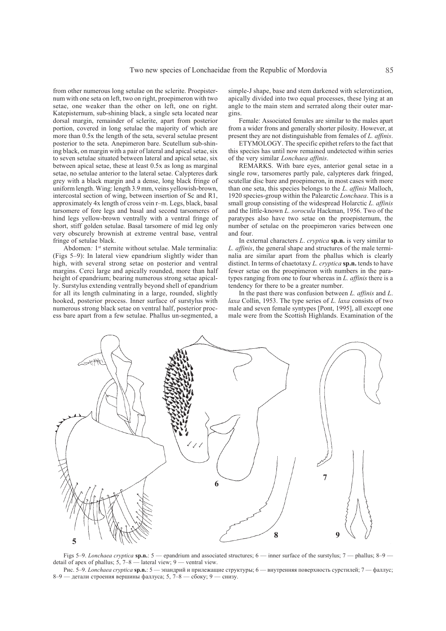from other numerous long setulae on the sclerite. Proepisternum with one seta on left, two on right, proepimeron with two setae, one weaker than the other on left, one on right. Katepisternum, sub-shining black, a single seta located near dorsal margin, remainder of sclerite, apart from posterior portion, covered in long setulae the majority of which are more than 0.5x the length of the seta, several setulae present posterior to the seta. Anepimeron bare. Scutellum sub-shining black, on margin with a pair of lateral and apical setae, six to seven setulae situated between lateral and apical setae, six between apical setae, these at least 0.5x as long as marginal setae, no setulae anterior to the lateral setae. Calypteres dark grey with a black margin and a dense, long black fringe of uniform length. Wing: length 3.9 mm, veins yellowish-brown, intercostal section of wing, between insertion of Sc and R1, approximately 4x length of cross vein r–m. Legs, black, basal tarsomere of fore legs and basal and second tarsomeres of hind legs yellow-brown ventrally with a ventral fringe of short, stiff golden setulae. Basal tarsomere of mid leg only very obscurely brownish at extreme ventral base, ventral fringe of setulae black.

Abdomen: 1<sup>st</sup> sternite without setulae. Male terminalia: (Figs 5–9): In lateral view epandrium slightly wider than high, with several strong setae on posterior and ventral margins. Cerci large and apically rounded, more than half height of epandrium; bearing numerous strong setae apically. Surstylus extending ventrally beyond shell of epandrium for all its length culminating in a large, rounded, slightly hooked, posterior process. Inner surface of surstylus with numerous strong black setae on ventral half, posterior process bare apart from a few setulae. Phallus un-segmented, a simple-J shape, base and stem darkened with sclerotization, apically divided into two equal processes, these lying at an angle to the main stem and serrated along their outer margins.

Female: Associated females are similar to the males apart from a wider frons and generally shorter pilosity. However, at present they are not distinguishable from females of *L. affinis*.

ETYMOLOGY. The specific epithet refers to the fact that this species has until now remained undetected within series of the very similar *Lonchaea affinis*.

REMARKS. With bare eyes, anterior genal setae in a single row, tarsomeres partly pale, calypteres dark fringed, scutellar disc bare and proepimeron, in most cases with more than one seta, this species belongs to the *L*. *affinis* Malloch, 1920 species-group within the Palearctic *Lonchaea*. This is a small group consisting of the widespread Holarctic *L. affinis* and the little-known *L. sorocula* Hackman, 1956. Two of the paratypes also have two setae on the proepisternum, the number of setulae on the proepimeron varies between one and four.

In external characters *L*. *cryptica* **sp.n.** is very similar to *L. affinis*, the general shape and structures of the male terminalia are similar apart from the phallus which is clearly distinct. In terms of chaetotaxy *L. cryptica* **sp.n.** tends to have fewer setae on the proepimeron with numbers in the paratypes ranging from one to four whereas in *L. affinis* there is a tendency for there to be a greater number.

In the past there was confusion between *L. affinis* and *L*. *laxa* Collin, 1953. The type series of *L. laxa* consists of two male and seven female syntypes [Pont, 1995], all except one male were from the Scottish Highlands. Examination of the



Figs 5–9. *Lonchaea cryptica* **sp.n.**: 5 — epandrium and associated structures; 6 — inner surface of the surstylus; 7 — phallus; 8–9 detail of apex of phallus;  $5, 7-8$  — lateral view; 9 — ventral view.

Рис. 5–9. *Lonchaea cryptica* **sp.n.**: 5 — эпандрий и прилежащие структуры; 6 — внутренняя поверхность сурстилей; 7 — фаллус; 8–9 — детали строения вершины фаллуса; 5, 7–8 — сбоку; 9 — снизу.